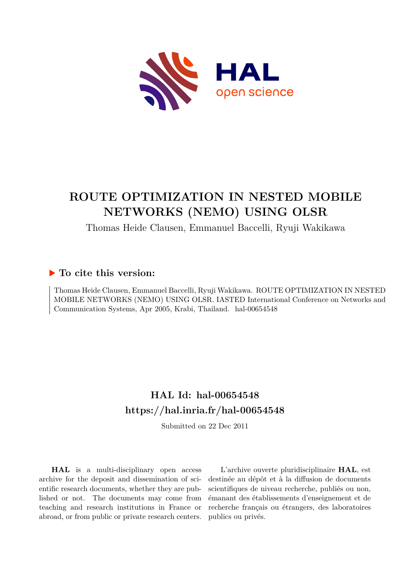

# **ROUTE OPTIMIZATION IN NESTED MOBILE NETWORKS (NEMO) USING OLSR**

Thomas Heide Clausen, Emmanuel Baccelli, Ryuji Wakikawa

# **To cite this version:**

Thomas Heide Clausen, Emmanuel Baccelli, Ryuji Wakikawa. ROUTE OPTIMIZATION IN NESTED MOBILE NETWORKS (NEMO) USING OLSR. IASTED International Conference on Networks and Communication Systems, Apr 2005, Krabi, Thailand. hal-00654548

# **HAL Id: hal-00654548 <https://hal.inria.fr/hal-00654548>**

Submitted on 22 Dec 2011

**HAL** is a multi-disciplinary open access archive for the deposit and dissemination of scientific research documents, whether they are published or not. The documents may come from teaching and research institutions in France or abroad, or from public or private research centers.

L'archive ouverte pluridisciplinaire **HAL**, est destinée au dépôt et à la diffusion de documents scientifiques de niveau recherche, publiés ou non, émanant des établissements d'enseignement et de recherche français ou étrangers, des laboratoires publics ou privés.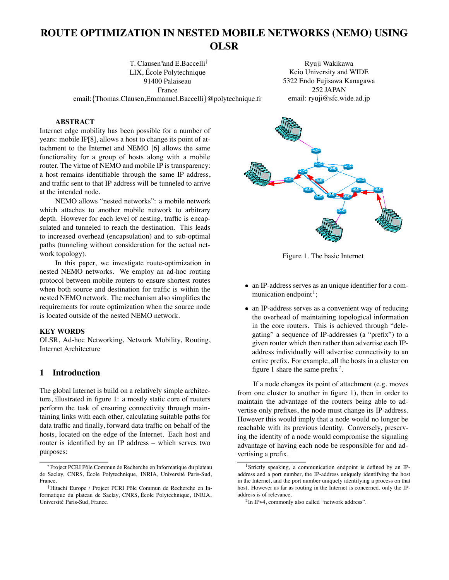# **ROUTE OPTIMIZATION IN NESTED MOBILE NETWORKS (NEMO) USING OLSR**

T. Clausen∗ and E.Baccelli† LIX, Ecole Polytechnique ´ 91400 Palaiseau France

Ryuji Wakikawa Keio University and WIDE 5322 Endo Fujisawa Kanagawa 252 JAPAN email: ryuji@sfc.wide.ad.jp

email:{Thomas.Clausen,Emmanuel.Baccelli}@polytechnique.fr

#### **ABSTRACT**

Internet edge mobility has been possible for a number of years: mobile IP[8], allows a host to change its point of attachment to the Internet and NEMO [6] allows the same functionality for a group of hosts along with a mobile router. The virtue of NEMO and mobile IP is transparency: a host remains identifiable through the same IP address, and traffic sent to that IP address will be tunneled to arrive at the intended node.

NEMO allows "nested networks": a mobile network which attaches to another mobile network to arbitrary depth. However for each level of nesting, traffic is encapsulated and tunneled to reach the destination. This leads to increased overhead (encapsulation) and to sub-optimal paths (tunneling without consideration for the actual network topology).

In this paper, we investigate route-optimization in nested NEMO networks. We employ an ad-hoc routing protocol between mobile routers to ensure shortest routes when both source and destination for traffic is within the nested NEMO network. The mechanism also simplifies the requirements for route optimization when the source node is located outside of the nested NEMO network.

#### **KEY WORDS**

OLSR, Ad-hoc Networking, Network Mobility, Routing, Internet Architecture

#### **1 Introduction**

The global Internet is build on a relatively simple architecture, illustrated in figure 1: a mostly static core of routers perform the task of ensuring connectivity through maintaining links with each other, calculating suitable paths for data traffic and finally, forward data traffic on behalf of the hosts, located on the edge of the Internet. Each host and router is identified by an IP address – which serves two purposes:



Figure 1. The basic Internet

- an IP-address serves as an unique identifier for a communication endpoint<sup>1</sup>;
- an IP-address serves as a convenient way of reducing the overhead of maintaining topological information in the core routers. This is achieved through "delegating" a sequence of IP-addresses (a "prefix") to a given router which then rather than advertise each IPaddress individually will advertise connectivity to an entire prefix. For example, all the hosts in a cluster on figure 1 share the same prefix<sup>2</sup>.

If a node changes its point of attachment (e.g. moves from one cluster to another in figure 1), then in order to maintain the advantage of the routers being able to advertise only prefixes, the node must change its IP-address. However this would imply that a node would no longer be reachable with its previous identity. Conversely, preserving the identity of a node would compromise the signaling advantage of having each node be responsible for and advertising a prefix.

<sup>\*</sup> Project PCRI Pôle Commun de Recherche en Informatique du plateau de Saclay, CNRS, École Polytechnique, INRIA, Université Paris-Sud, France.

<sup>†</sup>Hitachi Europe / Project PCRI Pôle Commun de Recherche en Informatique du plateau de Saclay, CNRS, Ecole Polytechnique, INRIA, ´ Université Paris-Sud, France.

<sup>1</sup>Strictly speaking, a communication endpoint is defined by an IPaddress and a port number, the IP-address uniquely identifying the host in the Internet, and the port number uniquely identifying a process on that host. However as far as routing in the Internet is concerned, only the IPaddress is of relevance.

<sup>&</sup>lt;sup>2</sup>In IPv4, commonly also called "network address".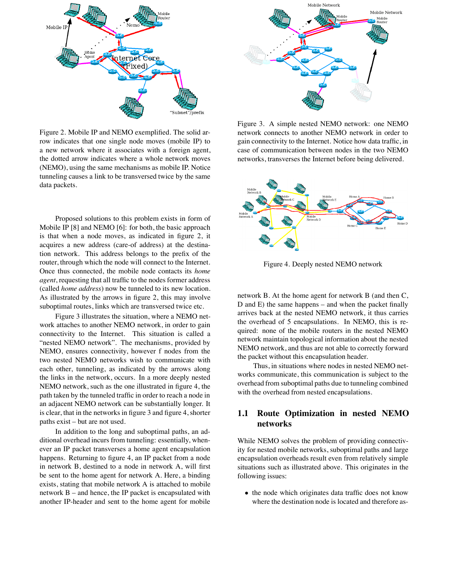

Figure 2. Mobile IP and NEMO exemplified. The solid arrow indicates that one single node moves (mobile IP) to a new network where it associates with a foreign agent, the dotted arrow indicates where a whole network moves (NEMO), using the same mechanisms as mobile IP. Notice tunneling causes a link to be transversed twice by the same data packets.

Proposed solutions to this problem exists in form of Mobile IP [8] and NEMO [6]: for both, the basic approach is that when a node moves, as indicated in figure 2, it acquires a new address (care-of address) at the destination network. This address belongs to the prefix of the router, through which the node will connect to the Internet. Once thus connected, the mobile node contacts its *home agent*, requesting that all traffic to the nodes former address (called *home address*) now be tunneled to its new location. As illustrated by the arrows in figure 2, this may involve suboptimal routes, links which are transversed twice etc.

Figure 3 illustrates the situation, where a NEMO network attaches to another NEMO network, in order to gain connectivity to the Internet. This situation is called a "nested NEMO network". The mechanisms, provided by NEMO, ensures connectivity, however f nodes from the two nested NEMO networks wish to communicate with each other, tunneling, as indicated by the arrows along the links in the network, occurs. In a more deeply nested NEMO network, such as the one illustrated in figure 4, the path taken by the tunneled traffic in order to reach a node in an adjacent NEMO network can be substantially longer. It is clear, that in the networks in figure 3 and figure 4, shorter paths exist – but are not used.

In addition to the long and suboptimal paths, an additional overhead incurs from tunneling: essentially, whenever an IP packet transverses a home agent encapsulation happens. Returning to figure 4, an IP packet from a node in network B, destined to a node in network A, will first be sent to the home agent for network A. Here, a binding exists, stating that mobile network A is attached to mobile network B – and hence, the IP packet is encapsulated with another IP-header and sent to the home agent for mobile



Figure 3. A simple nested NEMO network: one NEMO network connects to another NEMO network in order to gain connectivity to the Internet. Notice how data traffic, in case of communication between nodes in the two NEMO networks, transverses the Internet before being delivered.



Figure 4. Deeply nested NEMO network

network B. At the home agent for network B (and then C, D and E) the same happens – and when the packet finally arrives back at the nested NEMO network, it thus carries the overhead of 5 encapsulations. In NEMO, this is required: none of the mobile routers in the nested NEMO network maintain topological information about the nested NEMO network, and thus are not able to correctly forward the packet without this encapsulation header.

Thus, in situations where nodes in nested NEMO networks communicate, this communication is subject to the overhead from suboptimal paths due to tunneling combined with the overhead from nested encapsulations.

### **1.1 Route Optimization in nested NEMO networks**

While NEMO solves the problem of providing connectivity for nested mobile networks, suboptimal paths and large encapsulation overheads result even from relatively simple situations such as illustrated above. This originates in the following issues:

• the node which originates data traffic does not know where the destination node is located and therefore as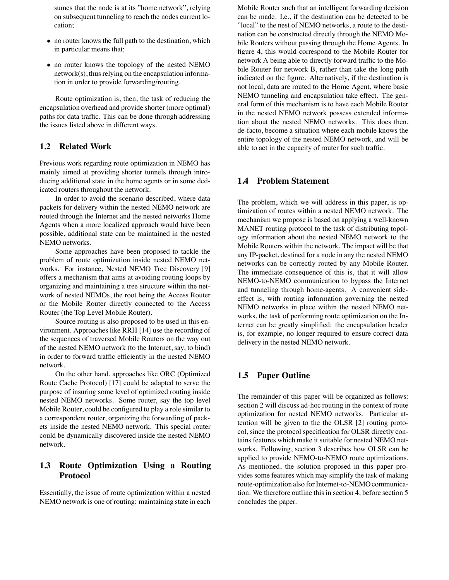sumes that the node is at its "home network", relying on subsequent tunneling to reach the nodes current location;

- no router knows the full path to the destination, which in particular means that;
- no router knows the topology of the nested NEMO network(s), thus relying on the encapsulation information in order to provide forwarding/routing.

Route optimization is, then, the task of reducing the encapsulation overhead and provide shorter (more optimal) paths for data traffic. This can be done through addressing the issues listed above in different ways.

#### **1.2 Related Work**

Previous work regarding route optimization in NEMO has mainly aimed at providing shorter tunnels through introducing additional state in the home agents or in some dedicated routers throughout the network.

In order to avoid the scenario described, where data packets for delivery within the nested NEMO network are routed through the Internet and the nested networks Home Agents when a more localized approach would have been possible, additional state can be maintained in the nested NEMO networks.

Some approaches have been proposed to tackle the problem of route optimization inside nested NEMO networks. For instance, Nested NEMO Tree Discovery [9] offers a mechanism that aims at avoiding routing loops by organizing and maintaining a tree structure within the network of nested NEMOs, the root being the Access Router or the Mobile Router directly connected to the Access Router (the Top Level Mobile Router).

Source routing is also proposed to be used in this environment. Approaches like RRH [14] use the recording of the sequences of traversed Mobile Routers on the way out of the nested NEMO network (to the Internet, say, to bind) in order to forward traffic efficiently in the nested NEMO network.

On the other hand, approaches like ORC (Optimized Route Cache Protocol) [17] could be adapted to serve the purpose of insuring some level of optimized routing inside nested NEMO networks. Some router, say the top level Mobile Router, could be configured to play a role similar to a correspondent router, organizing the forwarding of packets inside the nested NEMO network. This special router could be dynamically discovered inside the nested NEMO network.

# **1.3 Route Optimization Using a Routing Protocol**

Essentially, the issue of route optimization within a nested NEMO network is one of routing: maintaining state in each

Mobile Router such that an intelligent forwarding decision can be made. I.e., if the destination can be detected to be "local" to the nest of NEMO networks, a route to the destination can be constructed directly through the NEMO Mobile Routers without passing through the Home Agents. In figure 4, this would correspond to the Mobile Router for network A being able to directly forward traffic to the Mobile Router for network B, rather than take the long path indicated on the figure. Alternatively, if the destination is not local, data are routed to the Home Agent, where basic NEMO tunneling and encapsulation take effect. The general form of this mechanism is to have each Mobile Router in the nested NEMO network possess extended information about the nested NEMO networks. This does then, de-facto, become a situation where each mobile knows the entire topology of the nested NEMO network, and will be able to act in the capacity of router for such traffic.

#### **1.4 Problem Statement**

The problem, which we will address in this paper, is optimization of routes within a nested NEMO network. The mechanism we propose is based on applying a well-known MANET routing protocol to the task of distributing topology information about the nested NEMO network to the Mobile Routers within the network. The impact will be that any IP-packet, destined for a node in any the nested NEMO networks can be correctly routed by any Mobile Router. The immediate consequence of this is, that it will allow NEMO-to-NEMO communication to bypass the Internet and tunneling through home-agents. A convenient sideeffect is, with routing information governing the nested NEMO networks in place within the nested NEMO networks, the task of performing route optimization on the Internet can be greatly simplified: the encapsulation header is, for example, no longer required to ensure correct data delivery in the nested NEMO network.

### **1.5 Paper Outline**

The remainder of this paper will be organized as follows: section 2 will discuss ad-hoc routing in the context of route optimization for nested NEMO networks. Particular attention will be given to the the OLSR [2] routing protocol, since the protocol specification for OLSR directly contains features which make it suitable for nested NEMO networks. Following, section 3 describes how OLSR can be applied to provide NEMO-to-NEMO route optimizations. As mentioned, the solution proposed in this paper provides some features which may simplify the task of making route-optimization also for Internet-to-NEMO communication. We therefore outline this in section 4, before section 5 concludes the paper.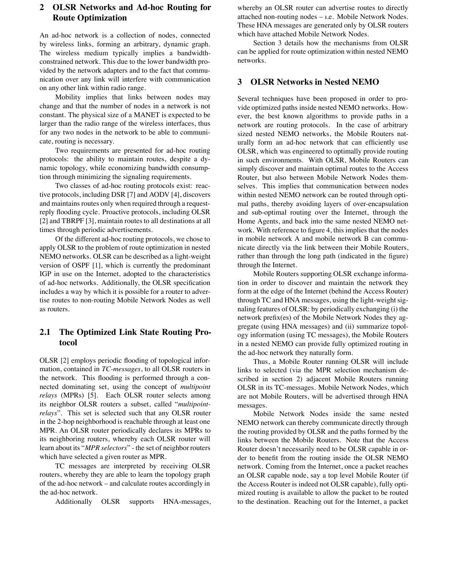# **2 OLSR Networks and Ad-hoc Routing for Route Optimization**

An ad-hoc network is a collection of nodes, connected by wireless links, forming an arbitrary, dynamic graph. The wireless medium typically implies a bandwidthconstrained network. This due to the lower bandwidth provided by the network adapters and to the fact that communication over any link will interfere with communication on any other link within radio range.

Mobility implies that links between nodes may change and that the number of nodes in a network is not constant. The physical size of a MANET is expected to be larger than the radio range of the wireless interfaces, thus for any two nodes in the network to be able to communicate, routing is necessary.

Two requirements are presented for ad-hoc routing protocols: the ability to maintain routes, despite a dynamic topology, while economizing bandwidth consumption through minimizing the signaling requirements.

Two classes of ad-hoc routing protocols exist: reactive protocols, including DSR [7] and AODV [4], discovers and maintains routes only when required through a requestreply flooding cycle. Proactive protocols, including OLSR [2] and TBRPF [3], maintain routes to all destinations at all times through periodic advertisements.

Of the different ad-hoc routing protocols, we chose to apply OLSR to the problem of route optimization in nested NEMO networks. OLSR can be described as a light-weight version of OSPF [1], which is currently the predominant IGP in use on the Internet, adopted to the characteristics of ad-hoc networks. Additionally, the OLSR specification includes a way by which it is possible for a router to advertise routes to non-routing Mobile Network Nodes as well as routers.

# **2.1 The Optimized Link State Routing Protocol**

OLSR [2] employs periodic flooding of topological information, contained in *TC-messages*, to all OLSR routers in the network. This flooding is performed through a connected dominating set, using the concept of *multipoint relays* (MPRs) [5]. Each OLSR router selects among its neighbor OLSR routers a subset, called "*multipointrelays*". This set is selected such that any OLSR router in the 2-hop neighborhood is reachable through at least one MPR. An OLSR router periodically declares its MPRs to its neighboring routers, whereby each OLSR router will learn about its "*MPR selectors*" - the set of neighbor routers which have selected a given router as MPR.

TC messages are interpreted by receiving OLSR routers, whereby they are able to learn the topology graph of the ad-hoc network – and calculate routes accordingly in the ad-hoc network.

Additionally OLSR supports HNA-messages,

whereby an OLSR router can advertise routes to directly attached non-routing nodes – ı.e. Mobile Network Nodes. These HNA messages are generated only by OLSR routers which have attached Mobile Network Nodes.

Section 3 details how the mechanisms from OLSR can be applied for route optimization within nested NEMO networks.

#### **3 OLSR Networks in Nested NEMO**

Several techniques have been proposed in order to provide optimized paths inside nested NEMO networks. However, the best known algorithms to provide paths in a network are routing protocols. In the case of arbitrary sized nested NEMO networks, the Mobile Routers naturally form an ad-hoc network that can efficiently use OLSR, which was engineered to optimally provide routing in such environments. With OLSR, Mobile Routers can simply discover and maintain optimal routes to the Access Router, but also between Mobile Network Nodes themselves. This implies that communication between nodes within nested NEMO network can be routed through optimal paths, thereby avoiding layers of over-encapsulation and sub-optimal routing over the Internet, through the Home Agents, and back into the same nested NEMO network. With reference to figure 4, this implies that the nodes in mobile network A and mobile network B can communicate directly via the link between their Mobile Routers, rather than through the long path (indicated in the figure) through the Internet.

Mobile Routers supporting OLSR exchange information in order to discover and maintain the network they form at the edge of the Internet (behind the Access Router) through TC and HNA messages, using the light-weight signaling features of OLSR: by periodically exchanging (i) the network prefix(es) of the Mobile Network Nodes they aggregate (using HNA messages) and (ii) summarize topology information (using TC messages), the Mobile Routers in a nested NEMO can provide fully optimized routing in the ad-hoc network they naturally form.

Thus, a Mobile Router running OLSR will include links to selected (via the MPR selection mechanism described in section 2) adjacent Mobile Routers running OLSR in its TC-messages. Mobile Network Nodes, which are not Mobile Routers, will be advertised through HNA messages.

Mobile Network Nodes inside the same nested NEMO network can thereby communicate directly through the routing provided by OLSR and the paths formed by the links between the Mobile Routers. Note that the Access Router doesn't necessarily need to be OLSR capable in order to benefit from the routing inside the OLSR NEMO network. Coming from the Internet, once a packet reaches an OLSR capable node, say a top level Mobile Router (if the Access Router is indeed not OLSR capable), fully optimized routing is available to allow the packet to be routed to the destination. Reaching out for the Internet, a packet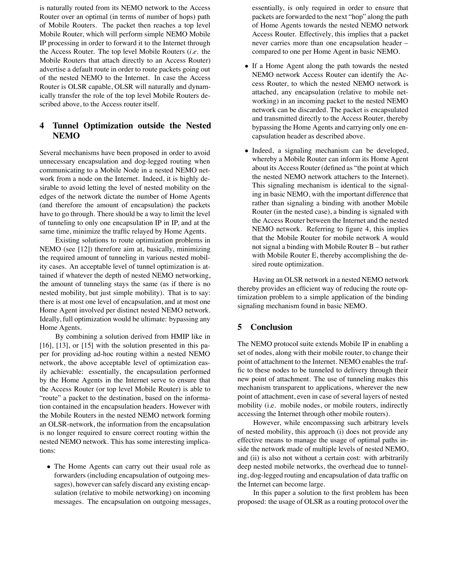is naturally routed from its NEMO network to the Access Router over an optimal (in terms of number of hops) path of Mobile Routers. The packet then reaches a top level Mobile Router, which will perform simple NEMO Mobile IP processing in order to forward it to the Internet through the Access Router. The top level Mobile Routers (*i.e.* the Mobile Routers that attach directly to an Access Router) advertise a default route in order to route packets going out of the nested NEMO to the Internet. In case the Access Router is OLSR capable, OLSR will naturally and dynamically transfer the role of the top level Mobile Routers described above, to the Access router itself.

# **4 Tunnel Optimization outside the Nested NEMO**

Several mechanisms have been proposed in order to avoid unnecessary encapsulation and dog-legged routing when communicating to a Mobile Node in a nested NEMO network from a node on the Internet. Indeed, it is highly desirable to avoid letting the level of nested mobility on the edges of the network dictate the number of Home Agents (and therefore the amount of encapsulation) the packets have to go through. There should be a way to limit the level of tunneling to only one encapsulation IP in IP, and at the same time, minimize the traffic relayed by Home Agents.

Existing solutions to route optimization problems in NEMO (see [12]) therefore aim at, basically, minimizing the required amount of tunneling in various nested mobility cases. An acceptable level of tunnel optimization is attained if whatever the depth of nested NEMO networking, the amount of tunneling stays the same (as if there is no nested mobility, but just simple mobility). That is to say: there is at most one level of encapsulation, and at most one Home Agent involved per distinct nested NEMO network. Ideally, full optimization would be ultimate: bypassing any Home Agents.

By combining a solution derived from HMIP like in [16], [13], or [15] with the solution presented in this paper for providing ad-hoc routing within a nested NEMO network, the above acceptable level of optimization easily achievable: essentially, the encapsulation performed by the Home Agents in the Internet serve to ensure that the Access Router (or top level Mobile Router) is able to "route" a packet to the destination, based on the information contained in the encapsulation headers. However with the Mobile Routers in the nested NEMO network forming an OLSR-network, the information from the encapsulation is no longer required to ensure correct routing within the nested NEMO network. This has some interesting implications:

• The Home Agents can carry out their usual role as forwarders (including encapsulation of outgoing messages), however can safely discard any existing encapsulation (relative to mobile networking) on incoming messages. The encapsulation on outgoing messages, essentially, is only required in order to ensure that packets are forwarded to the next "hop" along the path of Home Agents towards the nested NEMO network Access Router. Effectively, this implies that a packet never carries more than one encapsulation header – compared to one per Home Agent in basic NEMO.

- If a Home Agent along the path towards the nested NEMO network Access Router can identify the Access Router, to which the nested NEMO network is attached, any encapsulation (relative to mobile networking) in an incoming packet to the nested NEMO network can be discarded. The packet is encapsulated and transmitted directly to the Access Router, thereby bypassing the Home Agents and carrying only one encapsulation header as described above.
- Indeed, a signaling mechanism can be developed, whereby a Mobile Router can inform its Home Agent about its Access Router (defined as "the point at which the nested NEMO network attachers to the Internet). This signaling mechanism is identical to the signaling in basic NEMO, with the important difference that rather than signaling a binding with another Mobile Router (in the nested case), a binding is signaled with the Access Router between the Internet and the nested NEMO network. Referring to figure 4, this implies that the Mobile Router for mobile network A would not signal a binding with Mobile Router B – but rather with Mobile Router E, thereby accomplishing the desired route optimization.

Having an OLSR network in a nested NEMO network thereby provides an efficient way of reducing the route optimization problem to a simple application of the binding signaling mechanism found in basic NEMO.

### **5 Conclusion**

The NEMO protocol suite extends Mobile IP in enabling a set of nodes, along with their mobile router, to change their point of attachment to the Internet. NEMO enables the traffic to these nodes to be tunneled to delivery through their new point of attachment. The use of tunneling makes this mechanism transparent to applications, wherever the new point of attachment, even in case of several layers of nested mobility (i.e. mobile nodes, or mobile routers, indirectly accessing the Internet through other mobile routers).

However, while encompassing such arbitrary levels of nested mobility, this approach (i) does not provide any effective means to manage the usage of optimal paths inside the network made of multiple levels of nested NEMO, and (ii) is also not without a certain cost: with arbitrarily deep nested mobile networks, the overhead due to tunneling, dog-legged routing and encapsulation of data traffic on the Internet can become large.

In this paper a solution to the first problem has been proposed: the usage of OLSR as a routing protocol over the